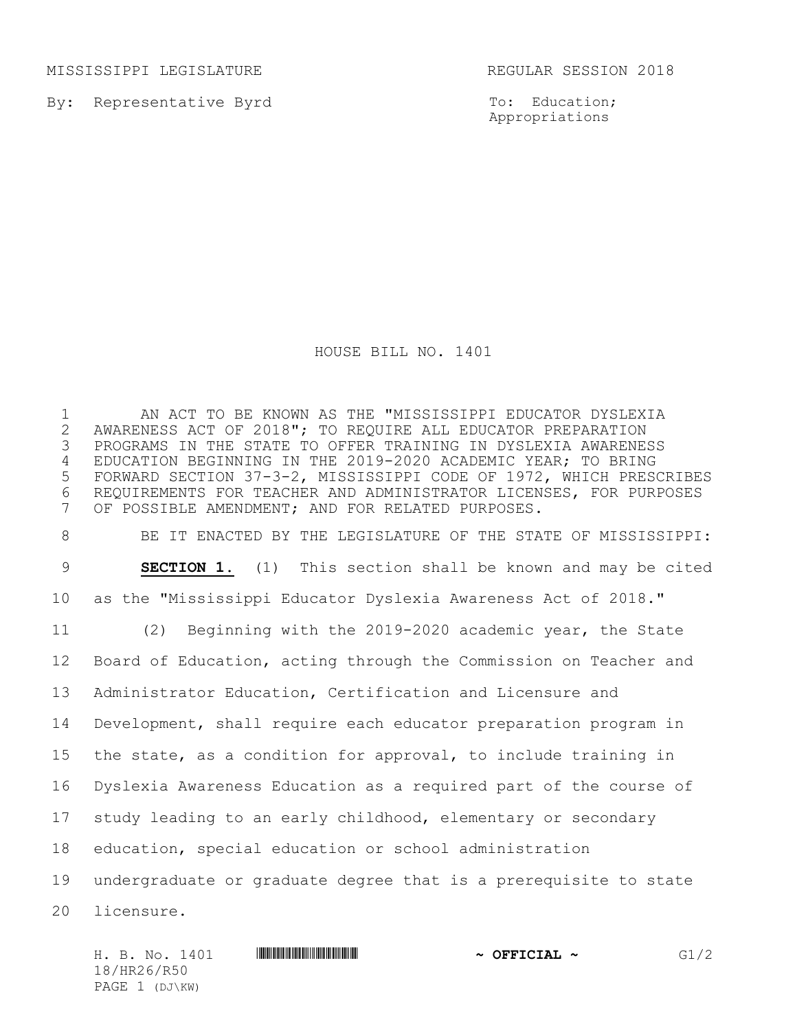MISSISSIPPI LEGISLATURE **REGULAR SESSION 2018** 

By: Representative Byrd

PAGE 1 (DJ\KW)

To: Education; Appropriations

HOUSE BILL NO. 1401

 AN ACT TO BE KNOWN AS THE "MISSISSIPPI EDUCATOR DYSLEXIA 2 AWARENESS ACT OF 2018"; TO REQUIRE ALL EDUCATOR PREPARATION<br>3 PROGRAMS IN THE STATE TO OFFER TRAINING IN DYSLEXIA AWARENE: PROGRAMS IN THE STATE TO OFFER TRAINING IN DYSLEXIA AWARENESS EDUCATION BEGINNING IN THE 2019-2020 ACADEMIC YEAR; TO BRING FORWARD SECTION 37-3-2, MISSISSIPPI CODE OF 1972, WHICH PRESCRIBES REQUIREMENTS FOR TEACHER AND ADMINISTRATOR LICENSES, FOR PURPOSES OF POSSIBLE AMENDMENT; AND FOR RELATED PURPOSES. BE IT ENACTED BY THE LEGISLATURE OF THE STATE OF MISSISSIPPI: **SECTION 1.** (1) This section shall be known and may be cited as the "Mississippi Educator Dyslexia Awareness Act of 2018." (2) Beginning with the 2019-2020 academic year, the State Board of Education, acting through the Commission on Teacher and Administrator Education, Certification and Licensure and Development, shall require each educator preparation program in the state, as a condition for approval, to include training in Dyslexia Awareness Education as a required part of the course of study leading to an early childhood, elementary or secondary education, special education or school administration

 undergraduate or graduate degree that is a prerequisite to state licensure.

H. B. No. 1401 **HREFREE REEL REEL ASSESSED ASSESSED AT A OFFICIAL ~** G1/2 18/HR26/R50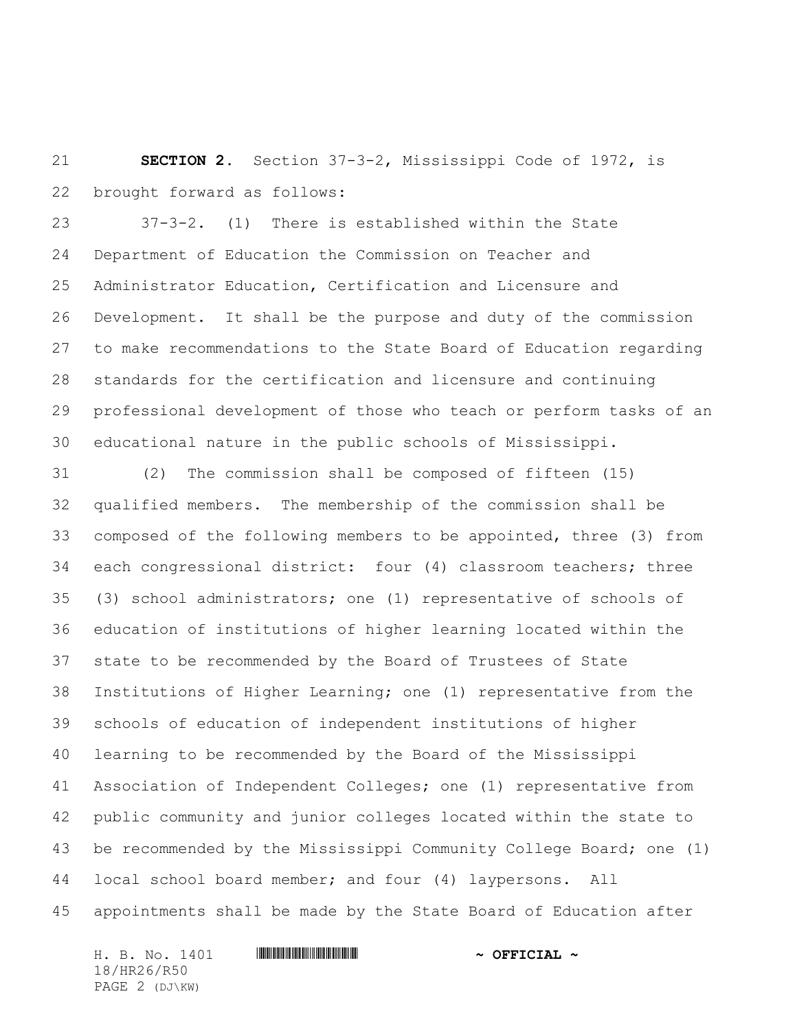**SECTION 2.** Section 37-3-2, Mississippi Code of 1972, is brought forward as follows:

 37-3-2. (1) There is established within the State Department of Education the Commission on Teacher and Administrator Education, Certification and Licensure and Development. It shall be the purpose and duty of the commission to make recommendations to the State Board of Education regarding standards for the certification and licensure and continuing professional development of those who teach or perform tasks of an educational nature in the public schools of Mississippi.

 (2) The commission shall be composed of fifteen (15) qualified members. The membership of the commission shall be composed of the following members to be appointed, three (3) from each congressional district: four (4) classroom teachers; three (3) school administrators; one (1) representative of schools of education of institutions of higher learning located within the state to be recommended by the Board of Trustees of State Institutions of Higher Learning; one (1) representative from the schools of education of independent institutions of higher learning to be recommended by the Board of the Mississippi Association of Independent Colleges; one (1) representative from public community and junior colleges located within the state to be recommended by the Mississippi Community College Board; one (1) local school board member; and four (4) laypersons. All appointments shall be made by the State Board of Education after

H. B. No. 1401 \*HR26/R50\* **~ OFFICIAL ~** 18/HR26/R50 PAGE 2 (DJ\KW)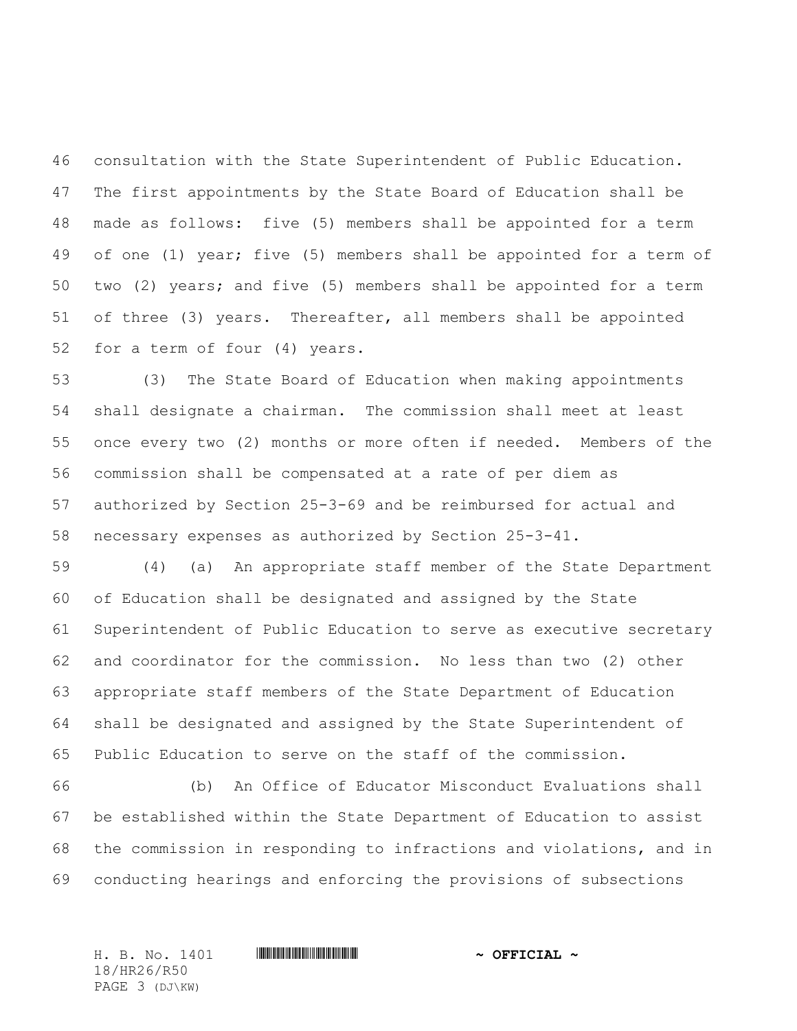consultation with the State Superintendent of Public Education. The first appointments by the State Board of Education shall be made as follows: five (5) members shall be appointed for a term of one (1) year; five (5) members shall be appointed for a term of two (2) years; and five (5) members shall be appointed for a term of three (3) years. Thereafter, all members shall be appointed for a term of four (4) years.

 (3) The State Board of Education when making appointments shall designate a chairman. The commission shall meet at least once every two (2) months or more often if needed. Members of the commission shall be compensated at a rate of per diem as authorized by Section 25-3-69 and be reimbursed for actual and necessary expenses as authorized by Section 25-3-41.

 (4) (a) An appropriate staff member of the State Department of Education shall be designated and assigned by the State Superintendent of Public Education to serve as executive secretary and coordinator for the commission. No less than two (2) other appropriate staff members of the State Department of Education shall be designated and assigned by the State Superintendent of Public Education to serve on the staff of the commission.

 (b) An Office of Educator Misconduct Evaluations shall be established within the State Department of Education to assist the commission in responding to infractions and violations, and in conducting hearings and enforcing the provisions of subsections

18/HR26/R50 PAGE 3 (DJ\KW)

H. B. No. 1401 \*HR26/R50\* **~ OFFICIAL ~**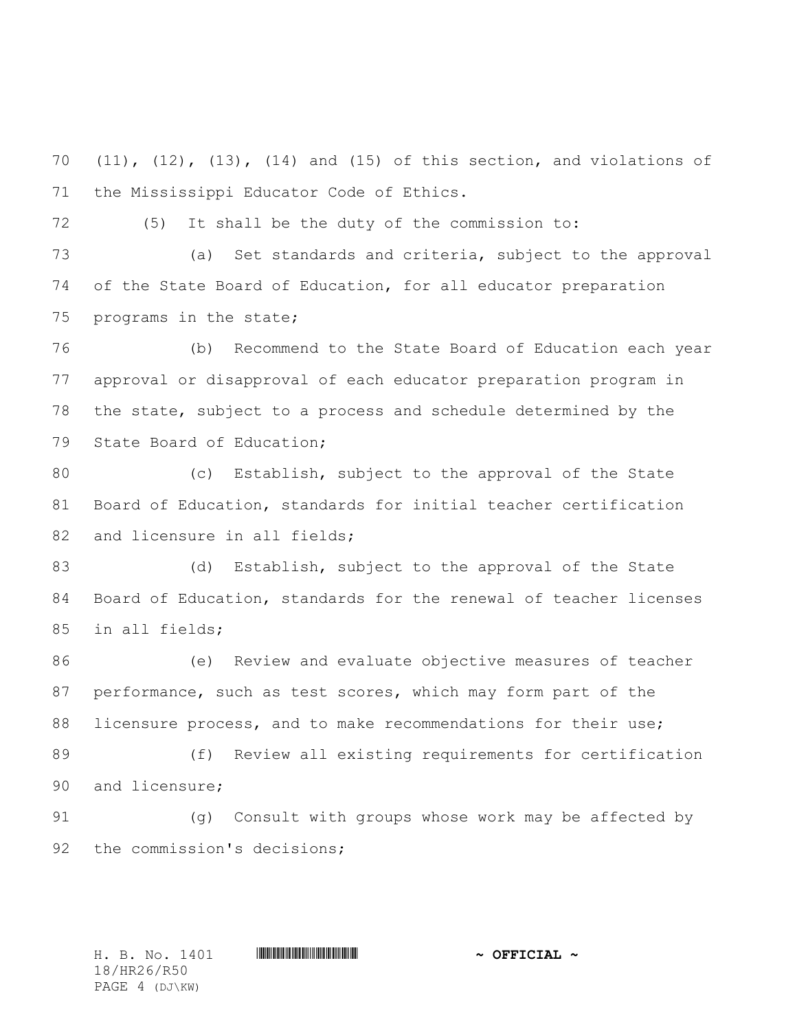(11), (12), (13), (14) and (15) of this section, and violations of the Mississippi Educator Code of Ethics.

(5) It shall be the duty of the commission to:

 (a) Set standards and criteria, subject to the approval of the State Board of Education, for all educator preparation programs in the state;

 (b) Recommend to the State Board of Education each year approval or disapproval of each educator preparation program in the state, subject to a process and schedule determined by the State Board of Education;

 (c) Establish, subject to the approval of the State Board of Education, standards for initial teacher certification 82 and licensure in all fields;

83 (d) Establish, subject to the approval of the State Board of Education, standards for the renewal of teacher licenses in all fields;

 (e) Review and evaluate objective measures of teacher performance, such as test scores, which may form part of the 88 licensure process, and to make recommendations for their use; (f) Review all existing requirements for certification and licensure;

 (g) Consult with groups whose work may be affected by 92 the commission's decisions;

18/HR26/R50 PAGE 4 (DJ\KW)

H. B. No. 1401 **\*\*\* HRA60\* AND \*\*\* THE \*\*\* AND \*\*\* OFFICIAL \***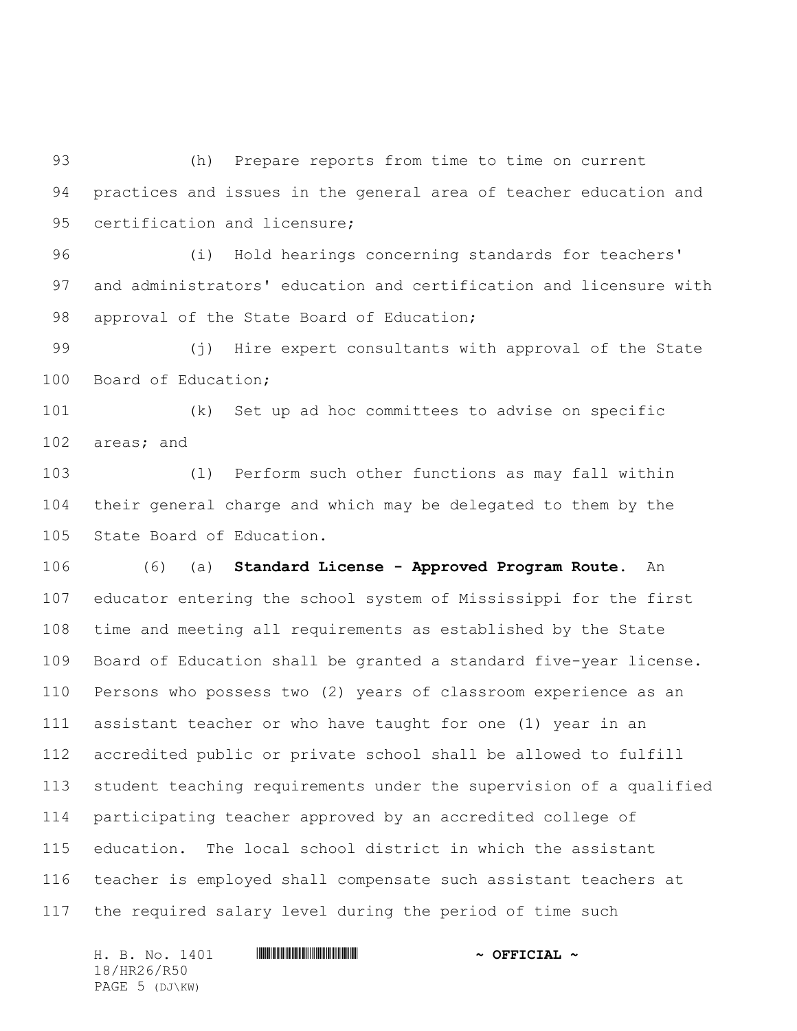(h) Prepare reports from time to time on current practices and issues in the general area of teacher education and 95 certification and licensure;

 (i) Hold hearings concerning standards for teachers' and administrators' education and certification and licensure with 98 approval of the State Board of Education;

 (j) Hire expert consultants with approval of the State Board of Education;

 (k) Set up ad hoc committees to advise on specific areas; and

 (l) Perform such other functions as may fall within their general charge and which may be delegated to them by the State Board of Education.

 (6) (a) **Standard License - Approved Program Route**. An educator entering the school system of Mississippi for the first time and meeting all requirements as established by the State Board of Education shall be granted a standard five-year license. Persons who possess two (2) years of classroom experience as an assistant teacher or who have taught for one (1) year in an accredited public or private school shall be allowed to fulfill student teaching requirements under the supervision of a qualified participating teacher approved by an accredited college of education. The local school district in which the assistant teacher is employed shall compensate such assistant teachers at the required salary level during the period of time such

H. B. No. 1401 **. HR26. And All And All And All And All And All And All And All And All And All And A** 18/HR26/R50 PAGE 5 (DJ\KW)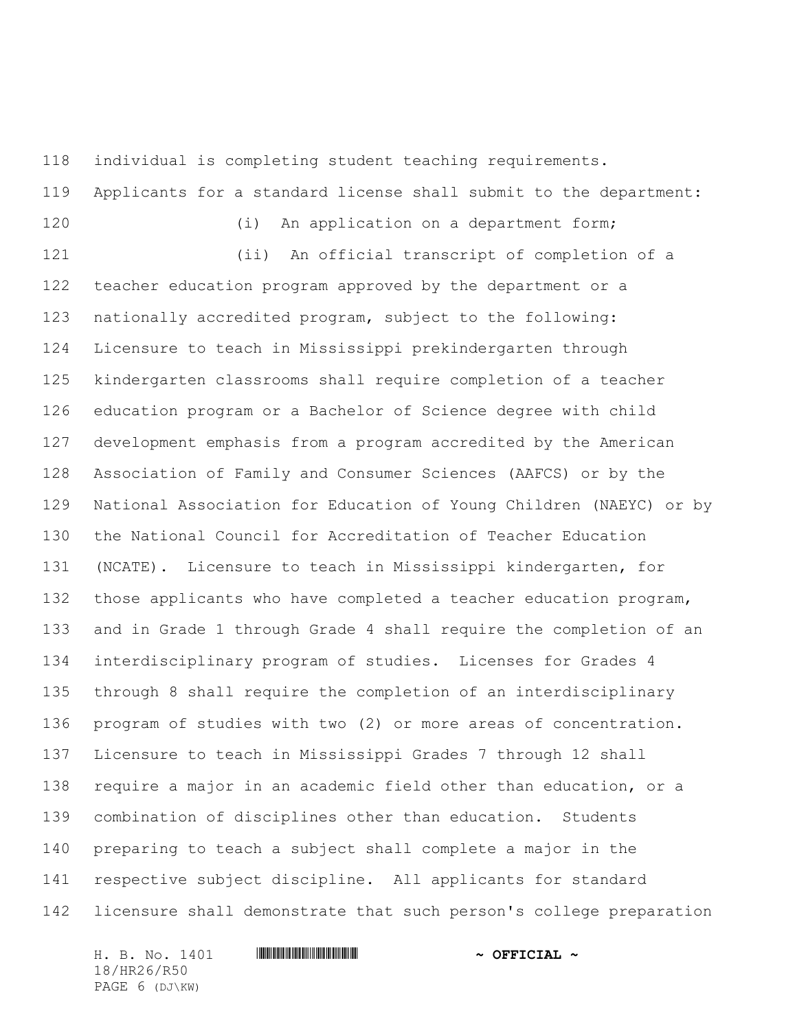individual is completing student teaching requirements. Applicants for a standard license shall submit to the department: 120 (i) An application on a department form; (ii) An official transcript of completion of a teacher education program approved by the department or a nationally accredited program, subject to the following: Licensure to teach in Mississippi prekindergarten through kindergarten classrooms shall require completion of a teacher education program or a Bachelor of Science degree with child development emphasis from a program accredited by the American Association of Family and Consumer Sciences (AAFCS) or by the National Association for Education of Young Children (NAEYC) or by the National Council for Accreditation of Teacher Education (NCATE). Licensure to teach in Mississippi kindergarten, for those applicants who have completed a teacher education program, and in Grade 1 through Grade 4 shall require the completion of an interdisciplinary program of studies. Licenses for Grades 4 through 8 shall require the completion of an interdisciplinary program of studies with two (2) or more areas of concentration. Licensure to teach in Mississippi Grades 7 through 12 shall require a major in an academic field other than education, or a combination of disciplines other than education. Students preparing to teach a subject shall complete a major in the respective subject discipline. All applicants for standard licensure shall demonstrate that such person's college preparation

H. B. No. 1401 **\*\*\* HRAGE #HR260\* #HR260\* #HR260\* #HR260\* #HR260\* #HR260\* #HR260\* #HR260\* #HR260\* #HR260\* #HR260\* #HR260\* #HR260\* #HR260\* #HR260\* #HR260\* #HR260\* #HR260\* #HR260\* #HR260\* #HR260\* #HR260\* #HR260\* #HR260\* #HR2** 18/HR26/R50 PAGE 6 (DJ\KW)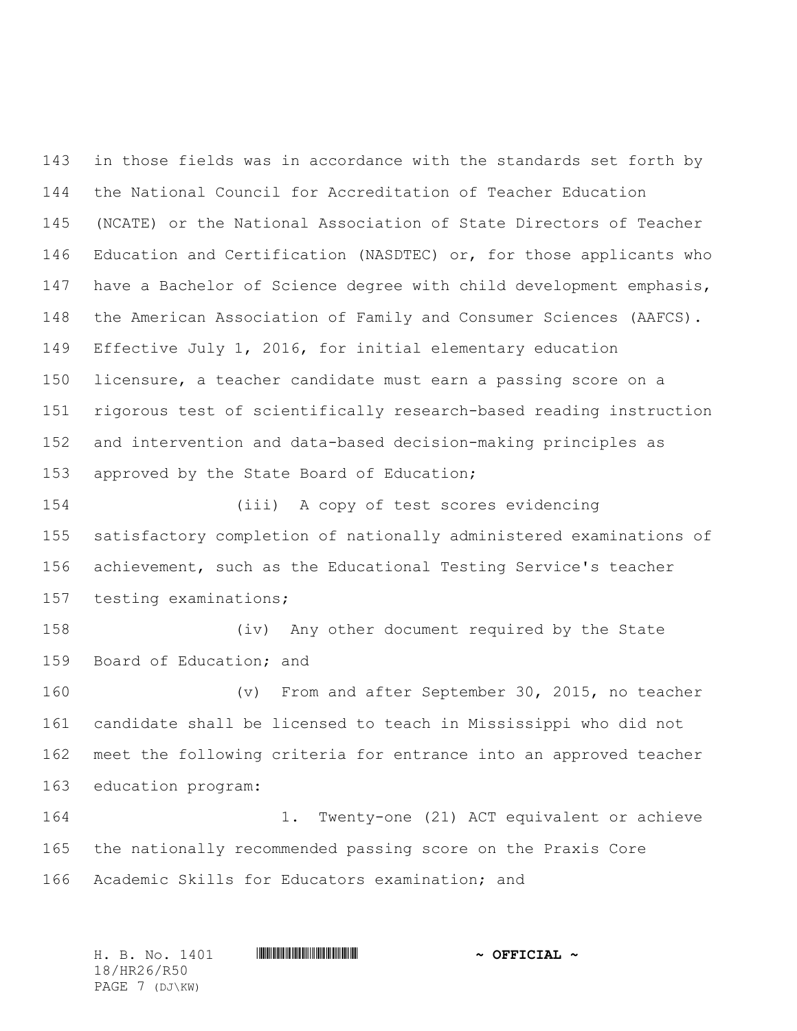143 in those fields was in accordance with the standards set forth by the National Council for Accreditation of Teacher Education (NCATE) or the National Association of State Directors of Teacher Education and Certification (NASDTEC) or, for those applicants who have a Bachelor of Science degree with child development emphasis, the American Association of Family and Consumer Sciences (AAFCS). Effective July 1, 2016, for initial elementary education licensure, a teacher candidate must earn a passing score on a rigorous test of scientifically research-based reading instruction and intervention and data-based decision-making principles as 153 approved by the State Board of Education;

 (iii) A copy of test scores evidencing satisfactory completion of nationally administered examinations of achievement, such as the Educational Testing Service's teacher testing examinations;

 (iv) Any other document required by the State Board of Education; and

 (v) From and after September 30, 2015, no teacher candidate shall be licensed to teach in Mississippi who did not meet the following criteria for entrance into an approved teacher education program:

 1. Twenty-one (21) ACT equivalent or achieve the nationally recommended passing score on the Praxis Core Academic Skills for Educators examination; and

H. B. No. 1401 \*HR26/R50\* **~ OFFICIAL ~** 18/HR26/R50 PAGE 7 (DJ\KW)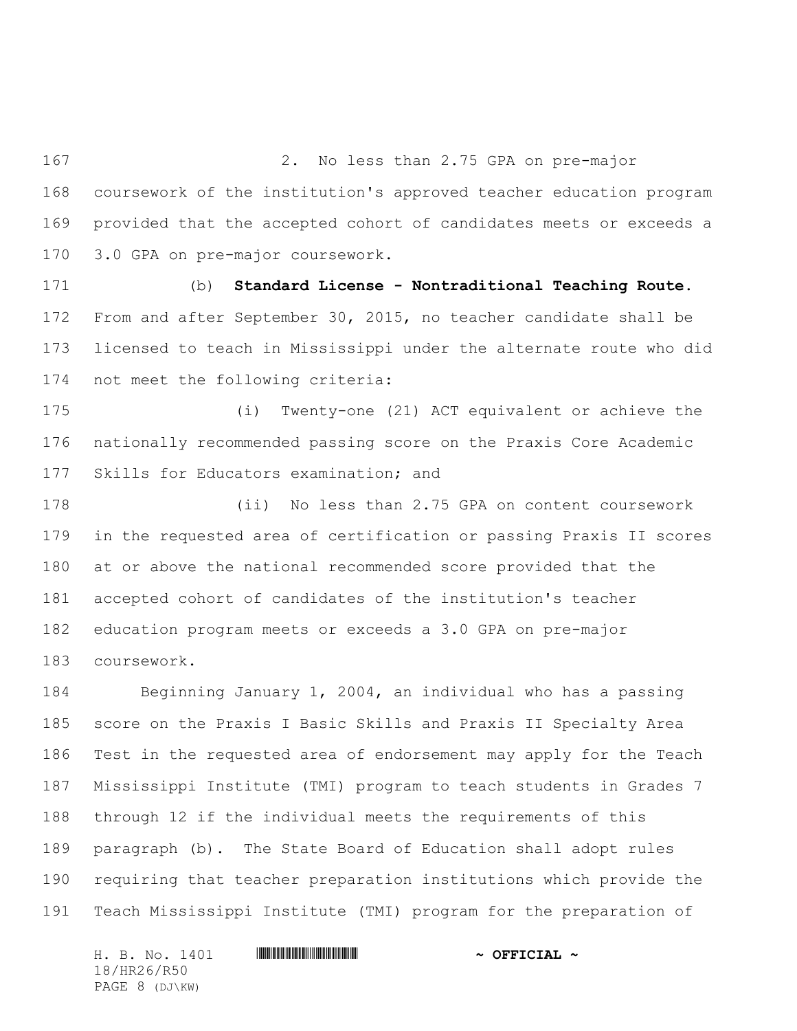2. No less than 2.75 GPA on pre-major coursework of the institution's approved teacher education program provided that the accepted cohort of candidates meets or exceeds a 3.0 GPA on pre-major coursework.

 (b) **Standard License - Nontraditional Teaching Route**. From and after September 30, 2015, no teacher candidate shall be licensed to teach in Mississippi under the alternate route who did not meet the following criteria:

 (i) Twenty-one (21) ACT equivalent or achieve the nationally recommended passing score on the Praxis Core Academic Skills for Educators examination; and

 (ii) No less than 2.75 GPA on content coursework in the requested area of certification or passing Praxis II scores at or above the national recommended score provided that the accepted cohort of candidates of the institution's teacher education program meets or exceeds a 3.0 GPA on pre-major coursework.

 Beginning January 1, 2004, an individual who has a passing score on the Praxis I Basic Skills and Praxis II Specialty Area Test in the requested area of endorsement may apply for the Teach Mississippi Institute (TMI) program to teach students in Grades 7 through 12 if the individual meets the requirements of this paragraph (b). The State Board of Education shall adopt rules requiring that teacher preparation institutions which provide the Teach Mississippi Institute (TMI) program for the preparation of

H. B. No. 1401 **HREGIAL WEIGHT THE SECOND ASSESSMENT OF SECOND-**18/HR26/R50 PAGE 8 (DJ\KW)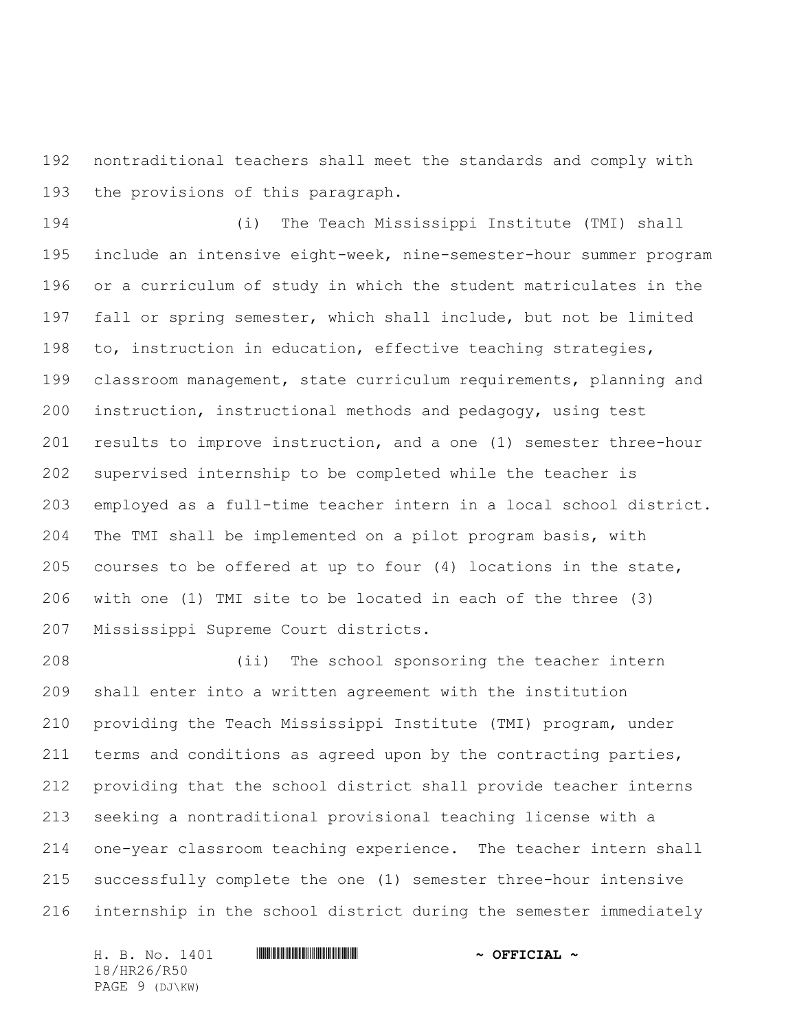nontraditional teachers shall meet the standards and comply with the provisions of this paragraph.

 (i) The Teach Mississippi Institute (TMI) shall include an intensive eight-week, nine-semester-hour summer program or a curriculum of study in which the student matriculates in the fall or spring semester, which shall include, but not be limited to, instruction in education, effective teaching strategies, classroom management, state curriculum requirements, planning and instruction, instructional methods and pedagogy, using test results to improve instruction, and a one (1) semester three-hour supervised internship to be completed while the teacher is employed as a full-time teacher intern in a local school district. The TMI shall be implemented on a pilot program basis, with courses to be offered at up to four (4) locations in the state, with one (1) TMI site to be located in each of the three (3) Mississippi Supreme Court districts.

 (ii) The school sponsoring the teacher intern shall enter into a written agreement with the institution providing the Teach Mississippi Institute (TMI) program, under terms and conditions as agreed upon by the contracting parties, providing that the school district shall provide teacher interns seeking a nontraditional provisional teaching license with a one-year classroom teaching experience. The teacher intern shall successfully complete the one (1) semester three-hour intensive internship in the school district during the semester immediately

H. B. No. 1401 **\*\*\* HRAGE #HR260\* #HR260\* #HR260\* #HR260\* #HR260\* #HR260\* #HR260\* #HR260\* #HR260\* #HR260\* #HR260\* #HR260\* #HR260\* #HR260\* #HR260\* #HR260\* #HR260\* #HR260\* #HR260\* #HR260\* #HR260\* #HR260\* #HR260\* #HR260\* #HR2** 18/HR26/R50 PAGE 9 (DJ\KW)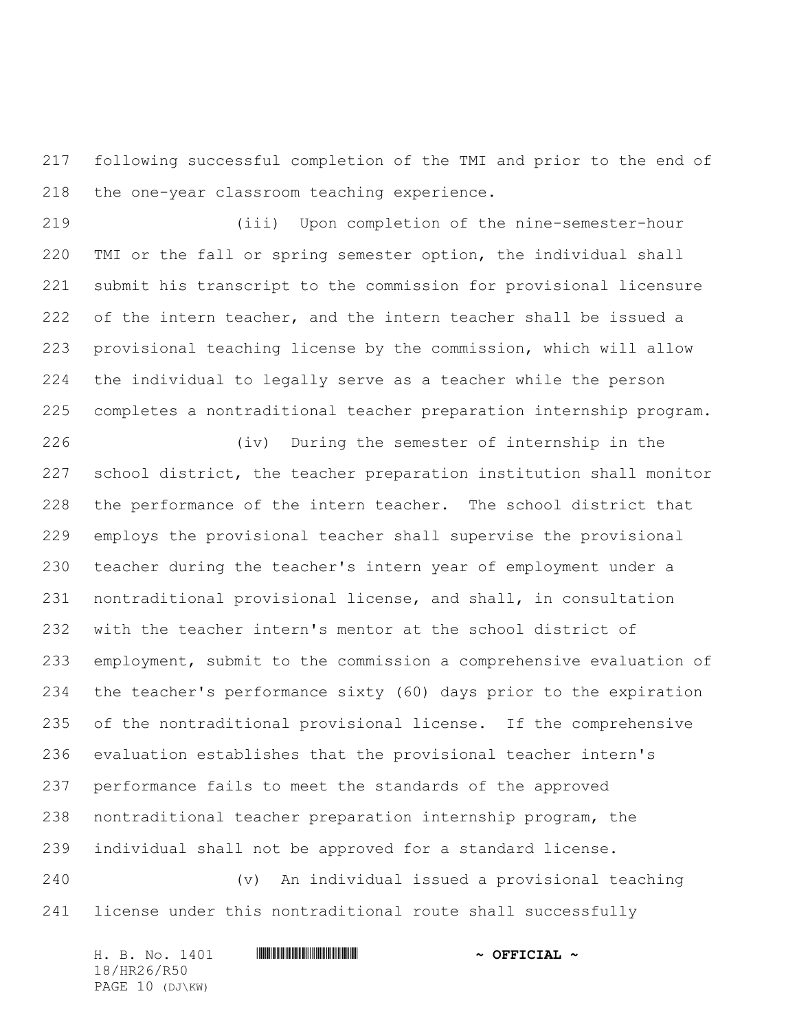following successful completion of the TMI and prior to the end of the one-year classroom teaching experience.

 (iii) Upon completion of the nine-semester-hour TMI or the fall or spring semester option, the individual shall submit his transcript to the commission for provisional licensure 222 of the intern teacher, and the intern teacher shall be issued a provisional teaching license by the commission, which will allow the individual to legally serve as a teacher while the person completes a nontraditional teacher preparation internship program.

 (iv) During the semester of internship in the school district, the teacher preparation institution shall monitor the performance of the intern teacher. The school district that employs the provisional teacher shall supervise the provisional teacher during the teacher's intern year of employment under a nontraditional provisional license, and shall, in consultation with the teacher intern's mentor at the school district of employment, submit to the commission a comprehensive evaluation of the teacher's performance sixty (60) days prior to the expiration of the nontraditional provisional license. If the comprehensive evaluation establishes that the provisional teacher intern's performance fails to meet the standards of the approved nontraditional teacher preparation internship program, the individual shall not be approved for a standard license.

 (v) An individual issued a provisional teaching license under this nontraditional route shall successfully

H. B. No. 1401 **\*\*\* HRAGE #HR260\* #HR260\* #HR260\* #HR260\* #HR260\* #HR260\* #HR260\* #HR260\* #HR260\* #HR260\* #HR260\* #HR260\* #HR260\* #HR260\* #HR260\* #HR260\* #HR260\* #HR260\* #HR260\* #HR260\* #HR260\* #HR260\* #HR260\* #HR260\* #HR2** 18/HR26/R50 PAGE 10 (DJ\KW)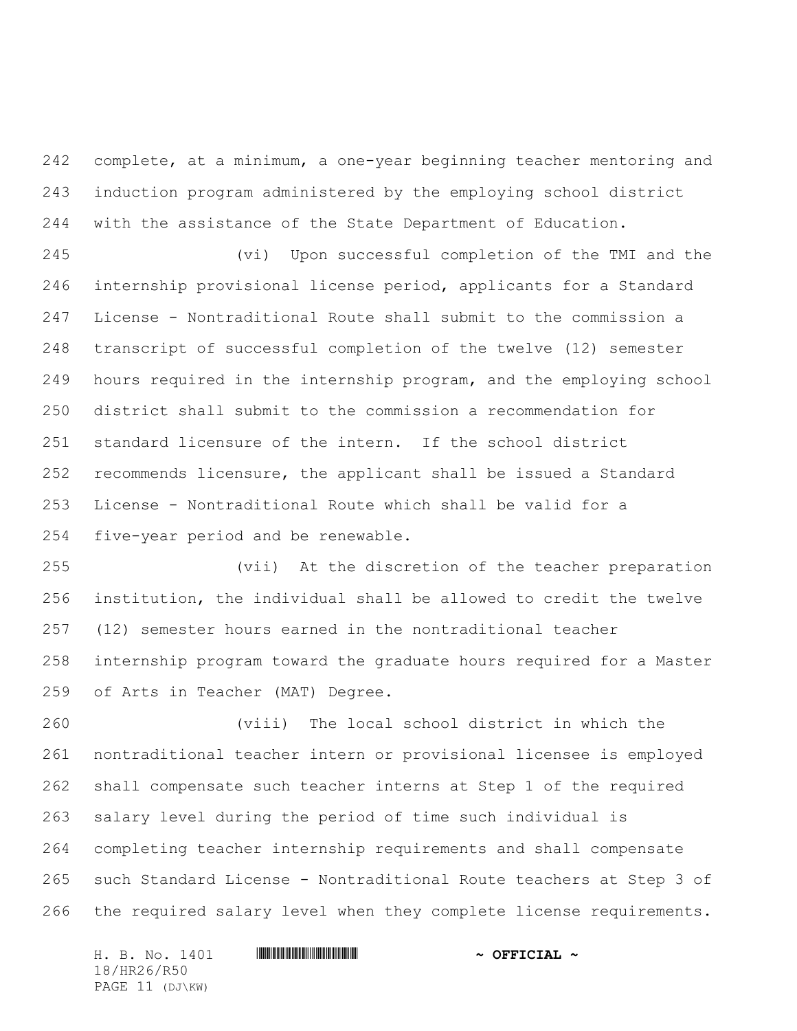complete, at a minimum, a one-year beginning teacher mentoring and induction program administered by the employing school district with the assistance of the State Department of Education.

 (vi) Upon successful completion of the TMI and the internship provisional license period, applicants for a Standard License - Nontraditional Route shall submit to the commission a transcript of successful completion of the twelve (12) semester hours required in the internship program, and the employing school district shall submit to the commission a recommendation for standard licensure of the intern. If the school district recommends licensure, the applicant shall be issued a Standard License - Nontraditional Route which shall be valid for a five-year period and be renewable.

 (vii) At the discretion of the teacher preparation institution, the individual shall be allowed to credit the twelve (12) semester hours earned in the nontraditional teacher internship program toward the graduate hours required for a Master of Arts in Teacher (MAT) Degree.

 (viii) The local school district in which the nontraditional teacher intern or provisional licensee is employed shall compensate such teacher interns at Step 1 of the required salary level during the period of time such individual is completing teacher internship requirements and shall compensate such Standard License - Nontraditional Route teachers at Step 3 of the required salary level when they complete license requirements.

H. B. No. 1401 **\*\*\* HRAGE #HR260\* #HR260\* #HR260\* #HR260\* #HR260\* #HR260\* #HR260\* #HR260\* #HR260\* #HR260\* #HR260\* #HR260\* #HR260\* #HR260\* #HR260\* #HR260\* #HR260\* #HR260\* #HR260\* #HR260\* #HR260\* #HR260\* #HR260\* #HR260\* #HR2** 18/HR26/R50 PAGE 11 (DJ\KW)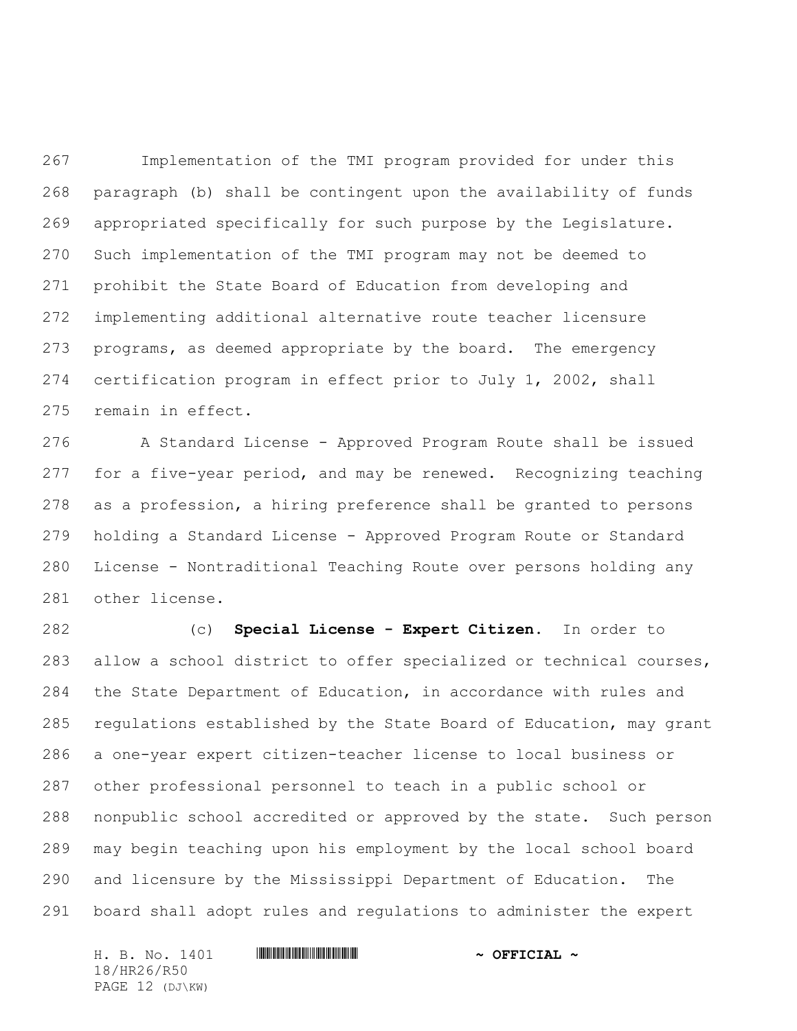Implementation of the TMI program provided for under this paragraph (b) shall be contingent upon the availability of funds appropriated specifically for such purpose by the Legislature. Such implementation of the TMI program may not be deemed to prohibit the State Board of Education from developing and implementing additional alternative route teacher licensure programs, as deemed appropriate by the board. The emergency certification program in effect prior to July 1, 2002, shall remain in effect.

 A Standard License - Approved Program Route shall be issued for a five-year period, and may be renewed. Recognizing teaching as a profession, a hiring preference shall be granted to persons holding a Standard License - Approved Program Route or Standard License - Nontraditional Teaching Route over persons holding any other license.

 (c) **Special License - Expert Citizen**. In order to allow a school district to offer specialized or technical courses, the State Department of Education, in accordance with rules and regulations established by the State Board of Education, may grant a one-year expert citizen-teacher license to local business or other professional personnel to teach in a public school or nonpublic school accredited or approved by the state. Such person may begin teaching upon his employment by the local school board and licensure by the Mississippi Department of Education. The board shall adopt rules and regulations to administer the expert

H. B. No. 1401 **\*\*\* HRA60\* AND \*\*\* THE \*\*\* AND \*\*\* OFFICIAL \*** 18/HR26/R50 PAGE 12 (DJ\KW)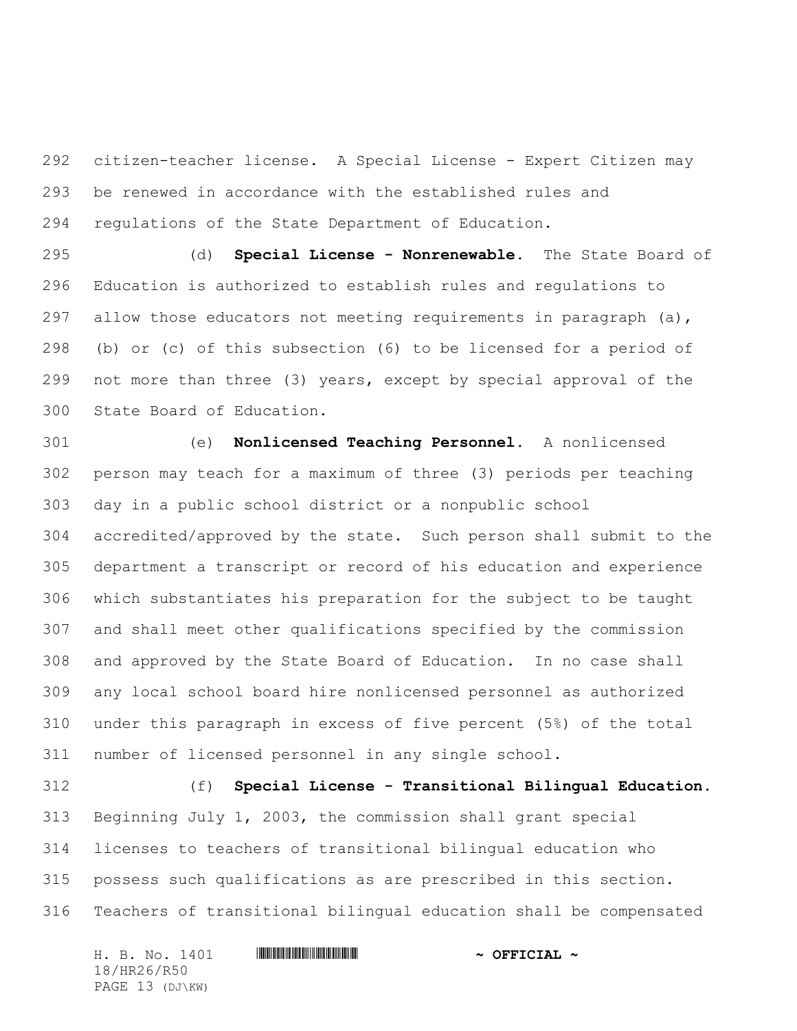citizen-teacher license. A Special License - Expert Citizen may be renewed in accordance with the established rules and regulations of the State Department of Education.

 (d) **Special License - Nonrenewable.** The State Board of Education is authorized to establish rules and regulations to 297 allow those educators not meeting requirements in paragraph  $(a)$ , (b) or (c) of this subsection (6) to be licensed for a period of not more than three (3) years, except by special approval of the State Board of Education.

 (e) **Nonlicensed Teaching Personnel.** A nonlicensed person may teach for a maximum of three (3) periods per teaching day in a public school district or a nonpublic school accredited/approved by the state. Such person shall submit to the department a transcript or record of his education and experience which substantiates his preparation for the subject to be taught and shall meet other qualifications specified by the commission and approved by the State Board of Education. In no case shall any local school board hire nonlicensed personnel as authorized under this paragraph in excess of five percent (5%) of the total number of licensed personnel in any single school.

 (f) **Special License - Transitional Bilingual Education.** Beginning July 1, 2003, the commission shall grant special licenses to teachers of transitional bilingual education who possess such qualifications as are prescribed in this section. Teachers of transitional bilingual education shall be compensated

H. B. No. 1401 **. HR26. And All And All And All And All And All And All And All And All And All And A** 18/HR26/R50 PAGE 13 (DJ\KW)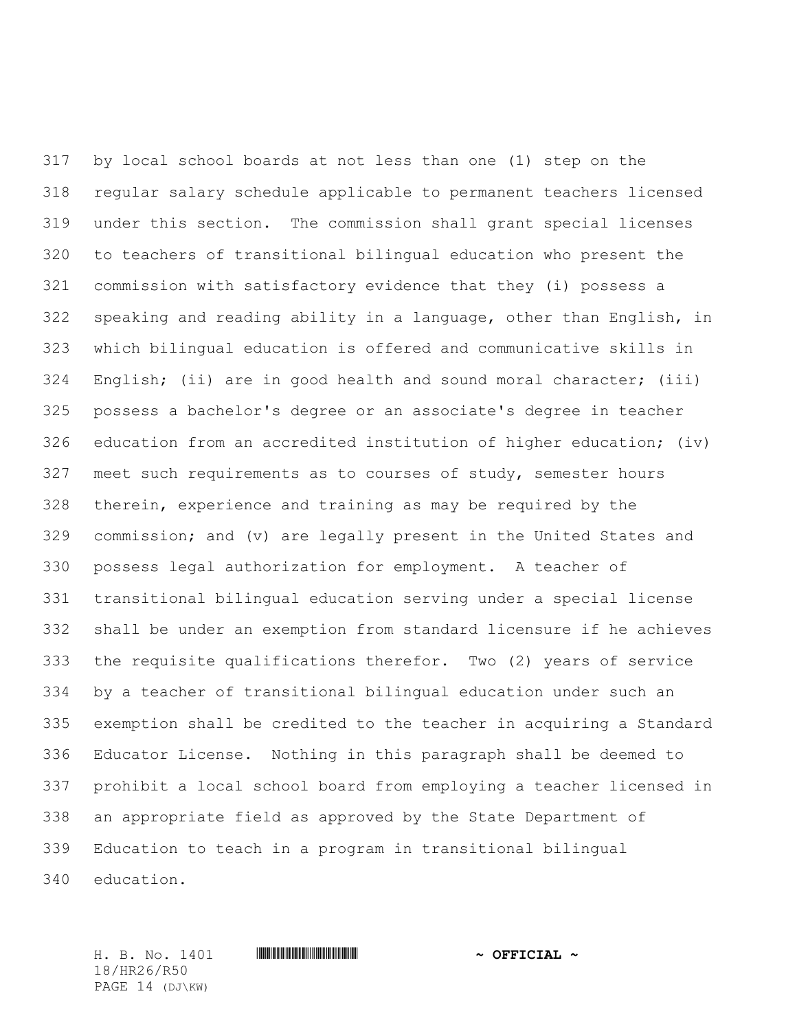by local school boards at not less than one (1) step on the regular salary schedule applicable to permanent teachers licensed under this section. The commission shall grant special licenses to teachers of transitional bilingual education who present the commission with satisfactory evidence that they (i) possess a speaking and reading ability in a language, other than English, in which bilingual education is offered and communicative skills in English; (ii) are in good health and sound moral character; (iii) possess a bachelor's degree or an associate's degree in teacher education from an accredited institution of higher education; (iv) meet such requirements as to courses of study, semester hours therein, experience and training as may be required by the commission; and (v) are legally present in the United States and possess legal authorization for employment. A teacher of transitional bilingual education serving under a special license shall be under an exemption from standard licensure if he achieves the requisite qualifications therefor. Two (2) years of service by a teacher of transitional bilingual education under such an exemption shall be credited to the teacher in acquiring a Standard Educator License. Nothing in this paragraph shall be deemed to prohibit a local school board from employing a teacher licensed in an appropriate field as approved by the State Department of Education to teach in a program in transitional bilingual education.

18/HR26/R50 PAGE 14 (DJ\KW)

H. B. No. 1401 \*HR26/R50\* **~ OFFICIAL ~**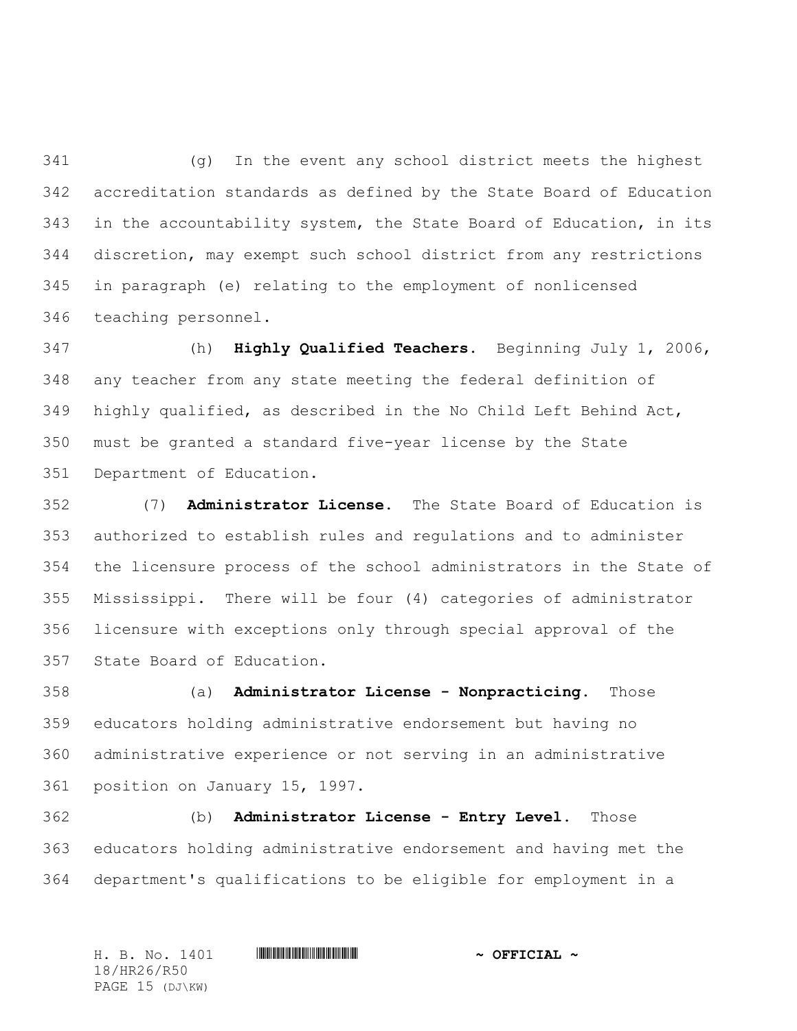(g) In the event any school district meets the highest accreditation standards as defined by the State Board of Education in the accountability system, the State Board of Education, in its discretion, may exempt such school district from any restrictions in paragraph (e) relating to the employment of nonlicensed teaching personnel.

 (h) **Highly Qualified Teachers.** Beginning July 1, 2006, any teacher from any state meeting the federal definition of highly qualified, as described in the No Child Left Behind Act, must be granted a standard five-year license by the State Department of Education.

 (7) **Administrator License.** The State Board of Education is authorized to establish rules and regulations and to administer the licensure process of the school administrators in the State of Mississippi. There will be four (4) categories of administrator licensure with exceptions only through special approval of the State Board of Education.

 (a) **Administrator License - Nonpracticing.** Those educators holding administrative endorsement but having no administrative experience or not serving in an administrative position on January 15, 1997.

 (b) **Administrator License - Entry Level.** Those educators holding administrative endorsement and having met the department's qualifications to be eligible for employment in a

H. B. No. 1401 **\*\*\* HRA60\* AND \*\*\* THE \*\*\* AND \*\*\* OFFICIAL \*** 18/HR26/R50 PAGE 15 (DJ\KW)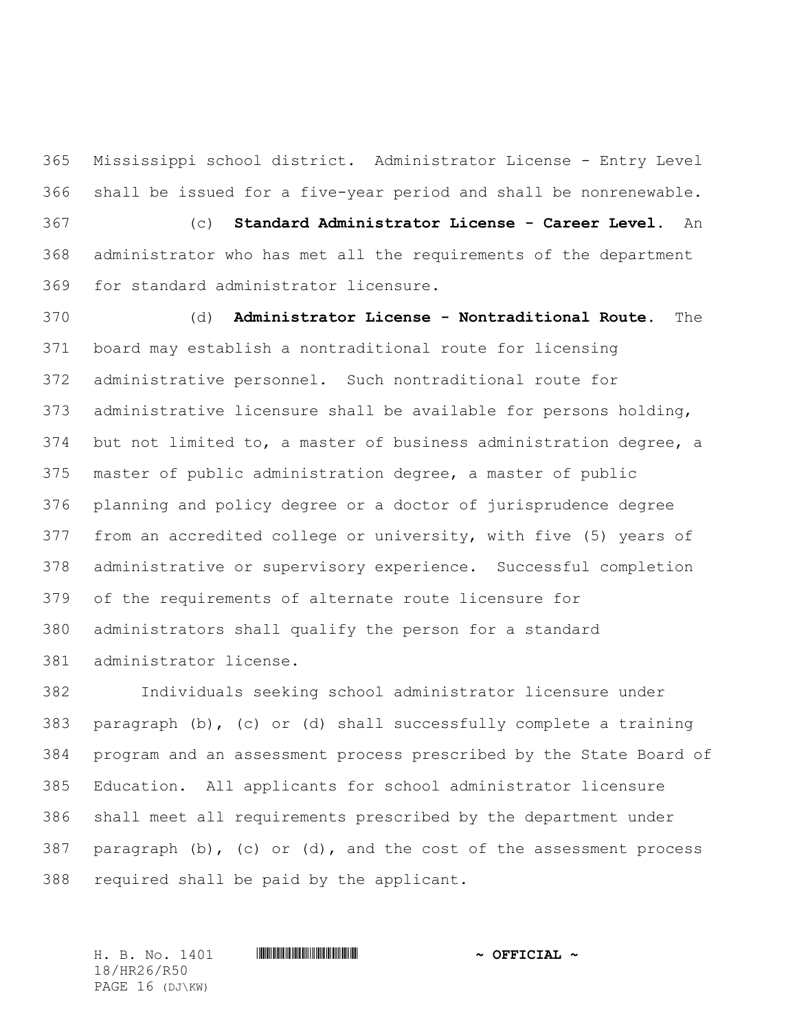Mississippi school district. Administrator License - Entry Level shall be issued for a five-year period and shall be nonrenewable. (c) **Standard Administrator License - Career Level.** An administrator who has met all the requirements of the department for standard administrator licensure.

 (d) **Administrator License - Nontraditional Route.** The board may establish a nontraditional route for licensing administrative personnel. Such nontraditional route for administrative licensure shall be available for persons holding, but not limited to, a master of business administration degree, a master of public administration degree, a master of public planning and policy degree or a doctor of jurisprudence degree from an accredited college or university, with five (5) years of administrative or supervisory experience. Successful completion of the requirements of alternate route licensure for administrators shall qualify the person for a standard administrator license.

 Individuals seeking school administrator licensure under paragraph (b), (c) or (d) shall successfully complete a training program and an assessment process prescribed by the State Board of Education. All applicants for school administrator licensure shall meet all requirements prescribed by the department under paragraph (b), (c) or (d), and the cost of the assessment process required shall be paid by the applicant.

H. B. No. 1401 \*HR26/R50\* **~ OFFICIAL ~** 18/HR26/R50 PAGE 16 (DJ\KW)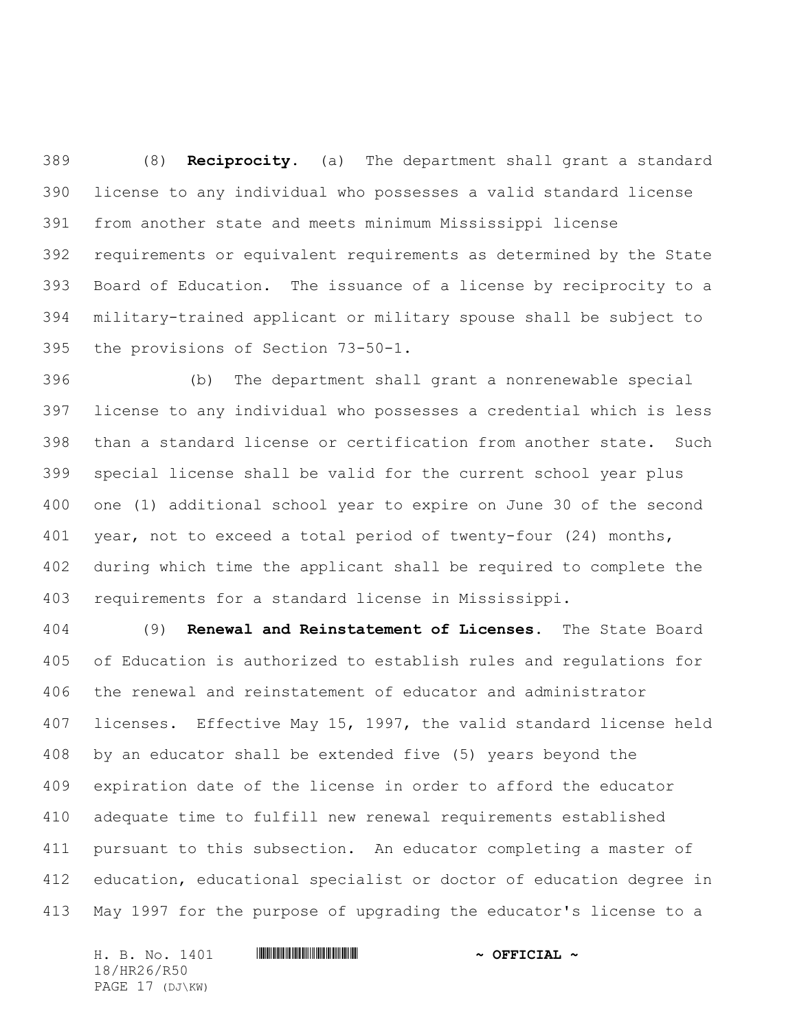(8) **Reciprocity.** (a) The department shall grant a standard license to any individual who possesses a valid standard license from another state and meets minimum Mississippi license requirements or equivalent requirements as determined by the State Board of Education. The issuance of a license by reciprocity to a military-trained applicant or military spouse shall be subject to the provisions of Section 73-50-1.

 (b) The department shall grant a nonrenewable special license to any individual who possesses a credential which is less than a standard license or certification from another state. Such special license shall be valid for the current school year plus one (1) additional school year to expire on June 30 of the second year, not to exceed a total period of twenty-four (24) months, during which time the applicant shall be required to complete the requirements for a standard license in Mississippi.

 (9) **Renewal and Reinstatement of Licenses.** The State Board of Education is authorized to establish rules and regulations for the renewal and reinstatement of educator and administrator licenses. Effective May 15, 1997, the valid standard license held by an educator shall be extended five (5) years beyond the expiration date of the license in order to afford the educator adequate time to fulfill new renewal requirements established pursuant to this subsection. An educator completing a master of education, educational specialist or doctor of education degree in May 1997 for the purpose of upgrading the educator's license to a

H. B. No. 1401 **. HR26. And All And All And All And All And All And All And All And All And All And A** 18/HR26/R50 PAGE 17 (DJ\KW)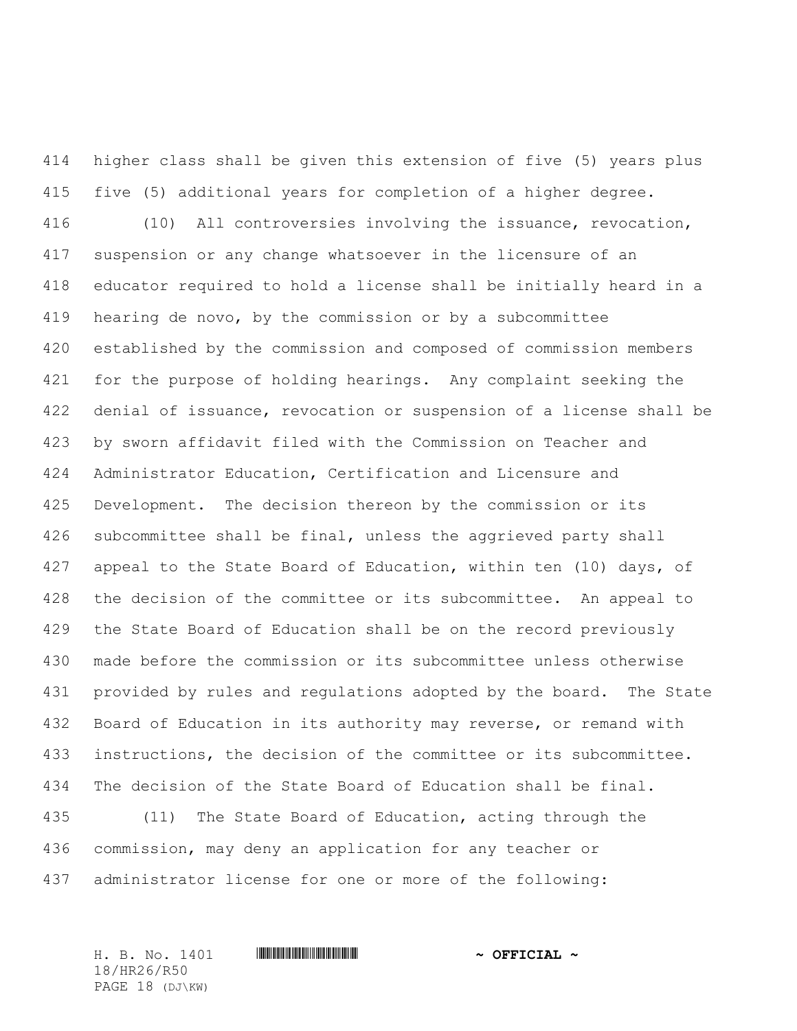higher class shall be given this extension of five (5) years plus five (5) additional years for completion of a higher degree. (10) All controversies involving the issuance, revocation, suspension or any change whatsoever in the licensure of an educator required to hold a license shall be initially heard in a hearing de novo, by the commission or by a subcommittee established by the commission and composed of commission members for the purpose of holding hearings. Any complaint seeking the denial of issuance, revocation or suspension of a license shall be by sworn affidavit filed with the Commission on Teacher and Administrator Education, Certification and Licensure and Development. The decision thereon by the commission or its subcommittee shall be final, unless the aggrieved party shall 427 appeal to the State Board of Education, within ten (10) days, of the decision of the committee or its subcommittee. An appeal to the State Board of Education shall be on the record previously made before the commission or its subcommittee unless otherwise provided by rules and regulations adopted by the board. The State Board of Education in its authority may reverse, or remand with instructions, the decision of the committee or its subcommittee. The decision of the State Board of Education shall be final. (11) The State Board of Education, acting through the commission, may deny an application for any teacher or

administrator license for one or more of the following:

18/HR26/R50 PAGE 18 (DJ\KW)

H. B. No. 1401 \*HR26/R50\* **~ OFFICIAL ~**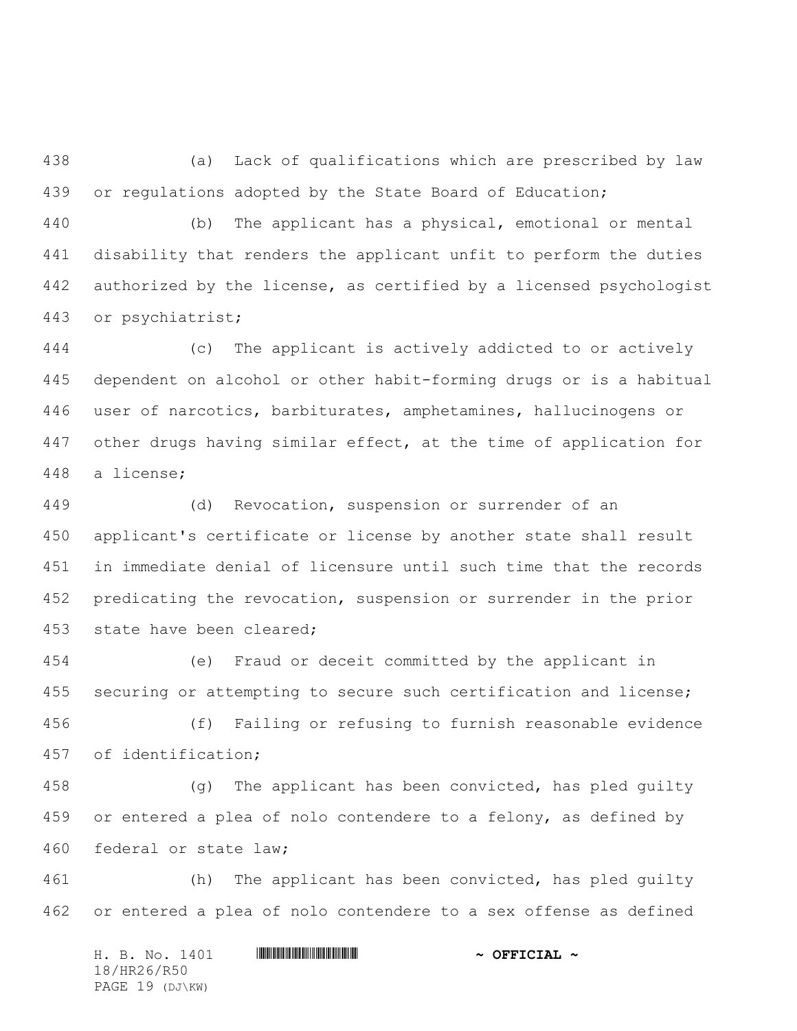(a) Lack of qualifications which are prescribed by law or regulations adopted by the State Board of Education;

 (b) The applicant has a physical, emotional or mental disability that renders the applicant unfit to perform the duties authorized by the license, as certified by a licensed psychologist or psychiatrist;

 (c) The applicant is actively addicted to or actively dependent on alcohol or other habit-forming drugs or is a habitual user of narcotics, barbiturates, amphetamines, hallucinogens or 447 other drugs having similar effect, at the time of application for a license;

 (d) Revocation, suspension or surrender of an applicant's certificate or license by another state shall result in immediate denial of licensure until such time that the records predicating the revocation, suspension or surrender in the prior state have been cleared;

 (e) Fraud or deceit committed by the applicant in 455 securing or attempting to secure such certification and license;

 (f) Failing or refusing to furnish reasonable evidence of identification;

458 (g) The applicant has been convicted, has pled guilty or entered a plea of nolo contendere to a felony, as defined by federal or state law;

 (h) The applicant has been convicted, has pled guilty or entered a plea of nolo contendere to a sex offense as defined

H. B. No. 1401 **\*\*\* HRA60\* AND \*\*\* THE \*\*\* AND \*\*\* OFFICIAL \*** 18/HR26/R50 PAGE 19 (DJ\KW)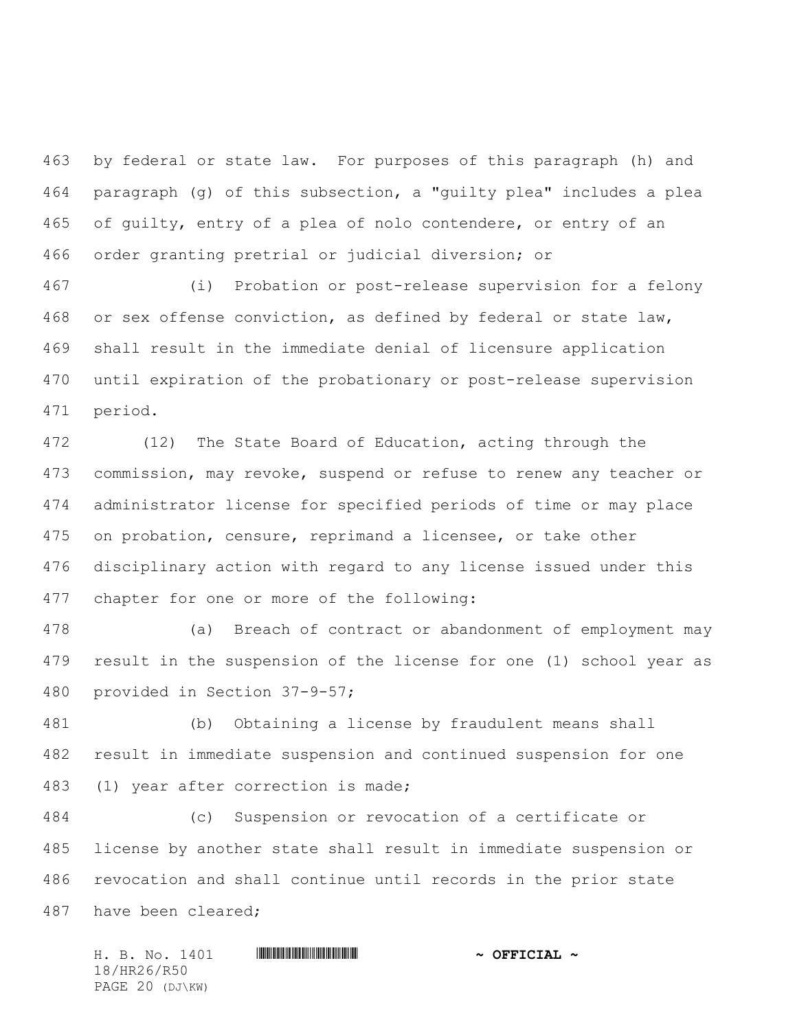by federal or state law. For purposes of this paragraph (h) and paragraph (g) of this subsection, a "guilty plea" includes a plea of guilty, entry of a plea of nolo contendere, or entry of an order granting pretrial or judicial diversion; or

 (i) Probation or post-release supervision for a felony or sex offense conviction, as defined by federal or state law, shall result in the immediate denial of licensure application until expiration of the probationary or post-release supervision period.

 (12) The State Board of Education, acting through the commission, may revoke, suspend or refuse to renew any teacher or administrator license for specified periods of time or may place on probation, censure, reprimand a licensee, or take other disciplinary action with regard to any license issued under this chapter for one or more of the following:

 (a) Breach of contract or abandonment of employment may result in the suspension of the license for one (1) school year as provided in Section 37-9-57;

 (b) Obtaining a license by fraudulent means shall result in immediate suspension and continued suspension for one (1) year after correction is made;

 (c) Suspension or revocation of a certificate or license by another state shall result in immediate suspension or revocation and shall continue until records in the prior state have been cleared;

H. B. No. 1401 \*HR26/R50\* **~ OFFICIAL ~** 18/HR26/R50 PAGE 20 (DJ\KW)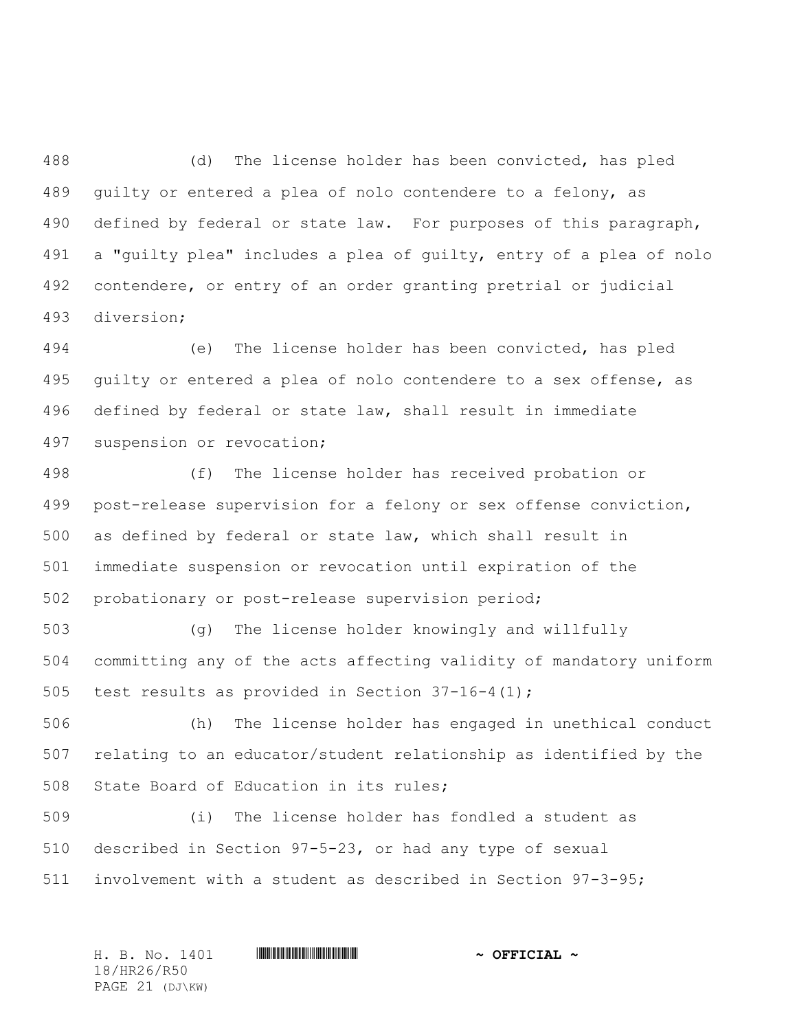(d) The license holder has been convicted, has pled guilty or entered a plea of nolo contendere to a felony, as defined by federal or state law. For purposes of this paragraph, a "guilty plea" includes a plea of guilty, entry of a plea of nolo contendere, or entry of an order granting pretrial or judicial diversion;

 (e) The license holder has been convicted, has pled guilty or entered a plea of nolo contendere to a sex offense, as defined by federal or state law, shall result in immediate suspension or revocation;

 (f) The license holder has received probation or post-release supervision for a felony or sex offense conviction, as defined by federal or state law, which shall result in immediate suspension or revocation until expiration of the probationary or post-release supervision period;

 (g) The license holder knowingly and willfully committing any of the acts affecting validity of mandatory uniform 505 test results as provided in Section  $37-16-4(1)$ ;

 (h) The license holder has engaged in unethical conduct relating to an educator/student relationship as identified by the State Board of Education in its rules;

 (i) The license holder has fondled a student as described in Section 97-5-23, or had any type of sexual involvement with a student as described in Section 97-3-95;

H. B. No. 1401 \*HR26/R50\* **~ OFFICIAL ~** 18/HR26/R50 PAGE 21 (DJ\KW)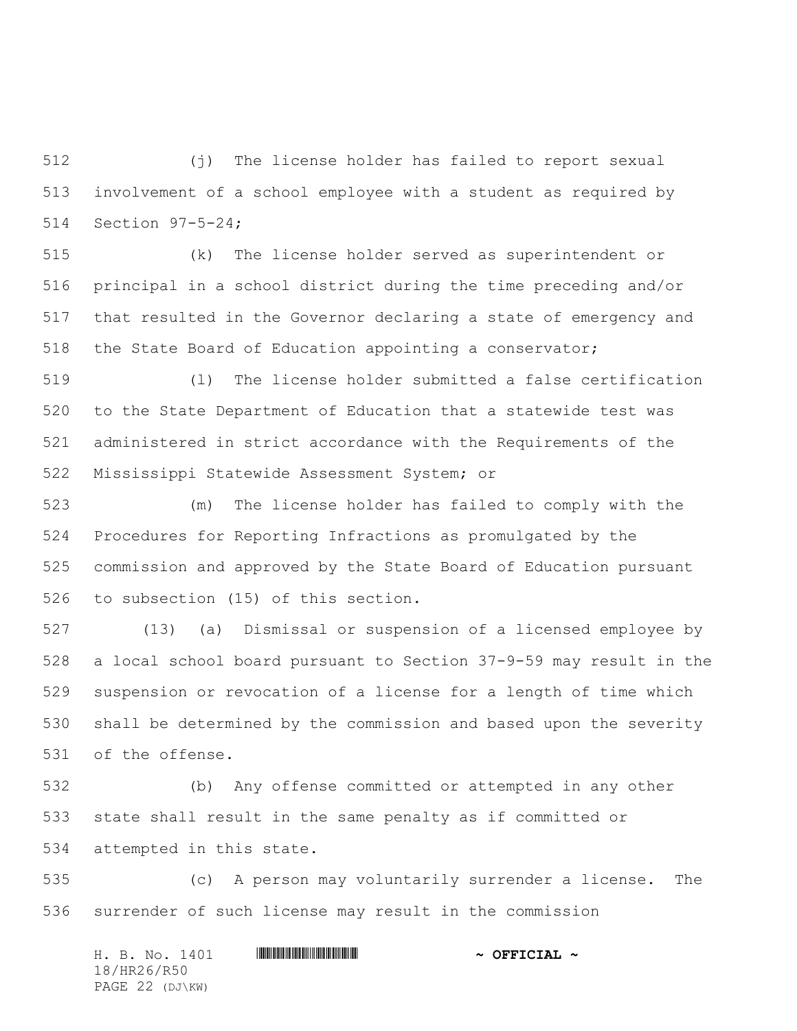(j) The license holder has failed to report sexual involvement of a school employee with a student as required by Section 97-5-24;

 (k) The license holder served as superintendent or principal in a school district during the time preceding and/or that resulted in the Governor declaring a state of emergency and the State Board of Education appointing a conservator;

 (l) The license holder submitted a false certification to the State Department of Education that a statewide test was administered in strict accordance with the Requirements of the Mississippi Statewide Assessment System; or

 (m) The license holder has failed to comply with the Procedures for Reporting Infractions as promulgated by the commission and approved by the State Board of Education pursuant to subsection (15) of this section.

 (13) (a) Dismissal or suspension of a licensed employee by a local school board pursuant to Section 37-9-59 may result in the suspension or revocation of a license for a length of time which shall be determined by the commission and based upon the severity of the offense.

 (b) Any offense committed or attempted in any other state shall result in the same penalty as if committed or attempted in this state.

 (c) A person may voluntarily surrender a license. The surrender of such license may result in the commission

H. B. No. 1401 **\*\*\* HRA60\* AND \*\*\* THE \*\*\* AND \*\*\* OFFICIAL \*** 18/HR26/R50 PAGE 22 (DJ\KW)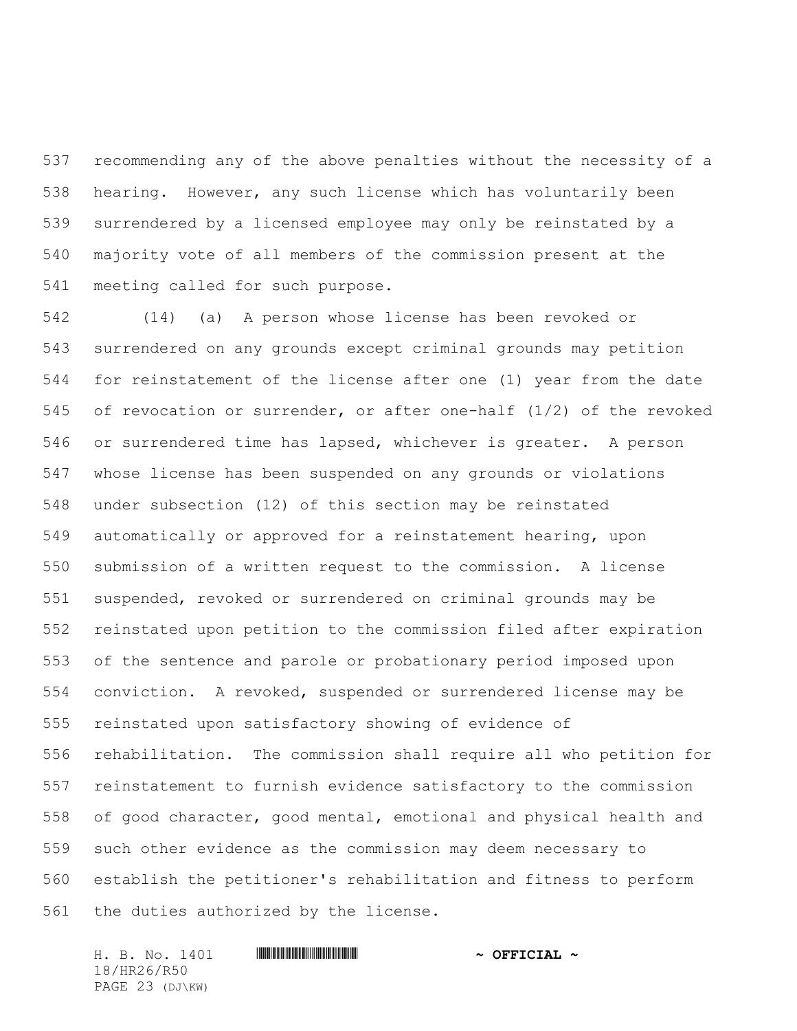recommending any of the above penalties without the necessity of a hearing. However, any such license which has voluntarily been surrendered by a licensed employee may only be reinstated by a majority vote of all members of the commission present at the meeting called for such purpose.

 (14) (a) A person whose license has been revoked or surrendered on any grounds except criminal grounds may petition for reinstatement of the license after one (1) year from the date of revocation or surrender, or after one-half (1/2) of the revoked or surrendered time has lapsed, whichever is greater. A person whose license has been suspended on any grounds or violations under subsection (12) of this section may be reinstated automatically or approved for a reinstatement hearing, upon submission of a written request to the commission. A license suspended, revoked or surrendered on criminal grounds may be reinstated upon petition to the commission filed after expiration of the sentence and parole or probationary period imposed upon conviction. A revoked, suspended or surrendered license may be reinstated upon satisfactory showing of evidence of rehabilitation. The commission shall require all who petition for reinstatement to furnish evidence satisfactory to the commission of good character, good mental, emotional and physical health and such other evidence as the commission may deem necessary to establish the petitioner's rehabilitation and fitness to perform the duties authorized by the license.

H. B. No. 1401 \*HR26/R50\* **~ OFFICIAL ~** 18/HR26/R50 PAGE 23 (DJ\KW)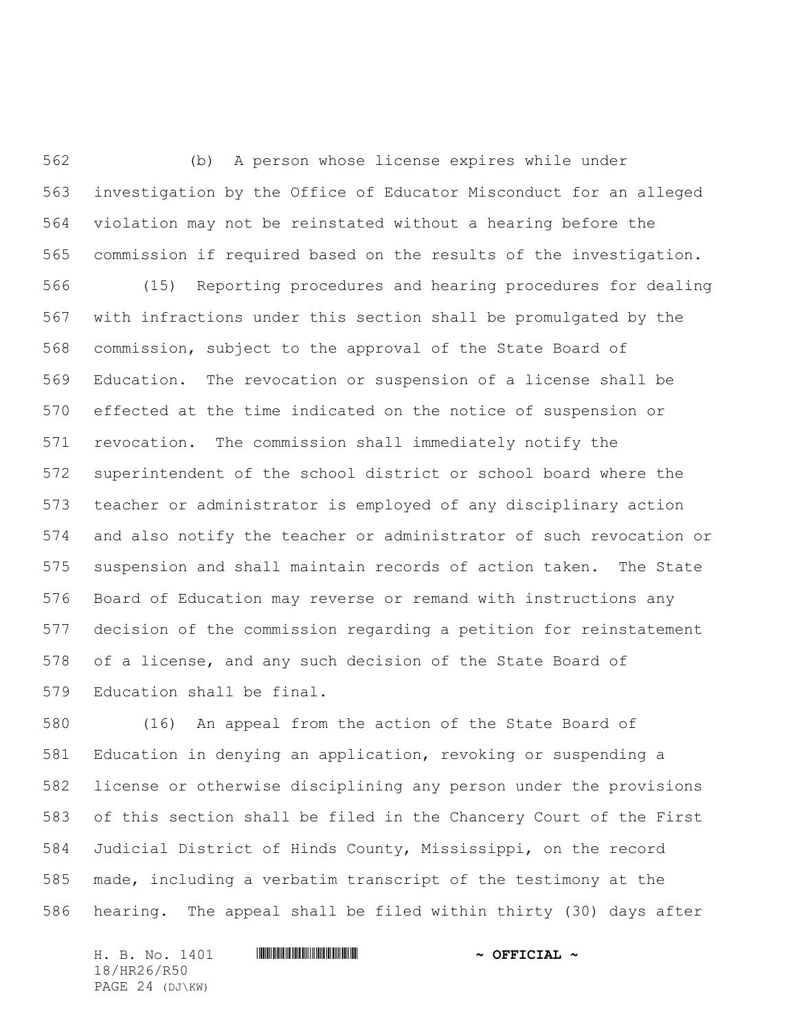(b) A person whose license expires while under investigation by the Office of Educator Misconduct for an alleged violation may not be reinstated without a hearing before the commission if required based on the results of the investigation.

 (15) Reporting procedures and hearing procedures for dealing with infractions under this section shall be promulgated by the commission, subject to the approval of the State Board of Education. The revocation or suspension of a license shall be effected at the time indicated on the notice of suspension or revocation. The commission shall immediately notify the superintendent of the school district or school board where the teacher or administrator is employed of any disciplinary action and also notify the teacher or administrator of such revocation or suspension and shall maintain records of action taken. The State Board of Education may reverse or remand with instructions any decision of the commission regarding a petition for reinstatement of a license, and any such decision of the State Board of Education shall be final.

 (16) An appeal from the action of the State Board of Education in denying an application, revoking or suspending a license or otherwise disciplining any person under the provisions of this section shall be filed in the Chancery Court of the First Judicial District of Hinds County, Mississippi, on the record made, including a verbatim transcript of the testimony at the hearing. The appeal shall be filed within thirty (30) days after

H. B. No. 1401 \*HR26/R50\* **~ OFFICIAL ~** 18/HR26/R50 PAGE 24 (DJ\KW)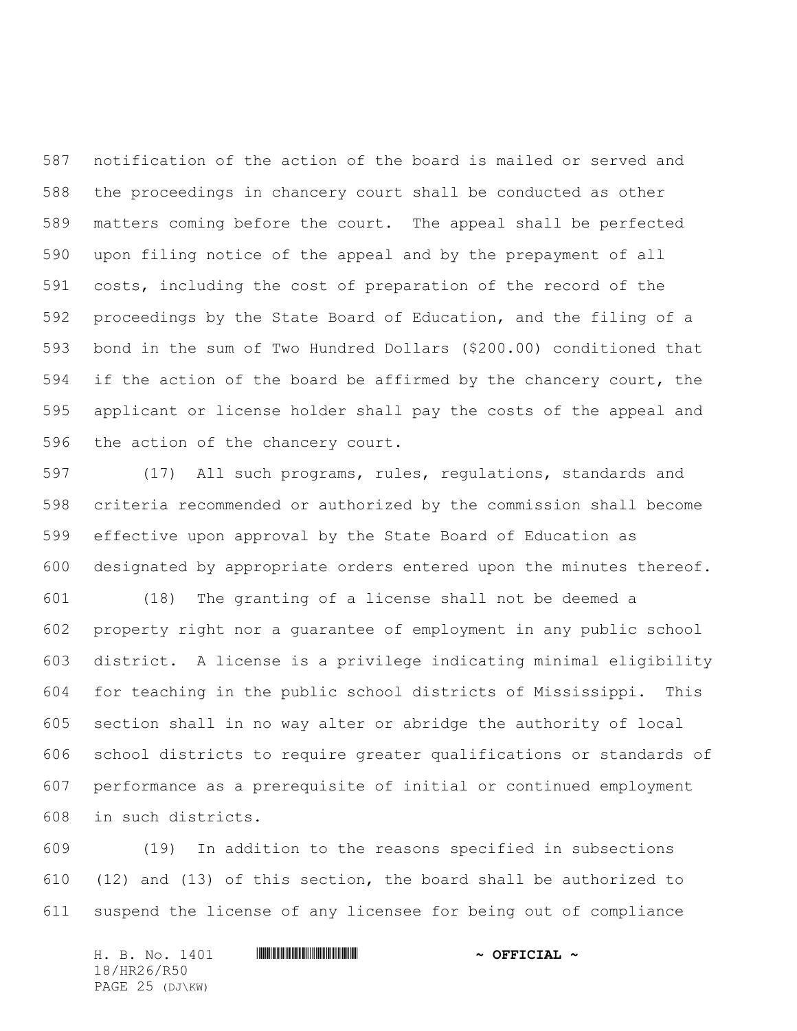notification of the action of the board is mailed or served and the proceedings in chancery court shall be conducted as other matters coming before the court. The appeal shall be perfected upon filing notice of the appeal and by the prepayment of all costs, including the cost of preparation of the record of the proceedings by the State Board of Education, and the filing of a bond in the sum of Two Hundred Dollars (\$200.00) conditioned that if the action of the board be affirmed by the chancery court, the applicant or license holder shall pay the costs of the appeal and the action of the chancery court.

 (17) All such programs, rules, regulations, standards and criteria recommended or authorized by the commission shall become effective upon approval by the State Board of Education as designated by appropriate orders entered upon the minutes thereof.

 (18) The granting of a license shall not be deemed a property right nor a guarantee of employment in any public school district. A license is a privilege indicating minimal eligibility for teaching in the public school districts of Mississippi. This section shall in no way alter or abridge the authority of local school districts to require greater qualifications or standards of performance as a prerequisite of initial or continued employment in such districts.

 (19) In addition to the reasons specified in subsections (12) and (13) of this section, the board shall be authorized to suspend the license of any licensee for being out of compliance

H. B. No. 1401 \*HR26/R50\* **~ OFFICIAL ~** 18/HR26/R50 PAGE 25 (DJ\KW)